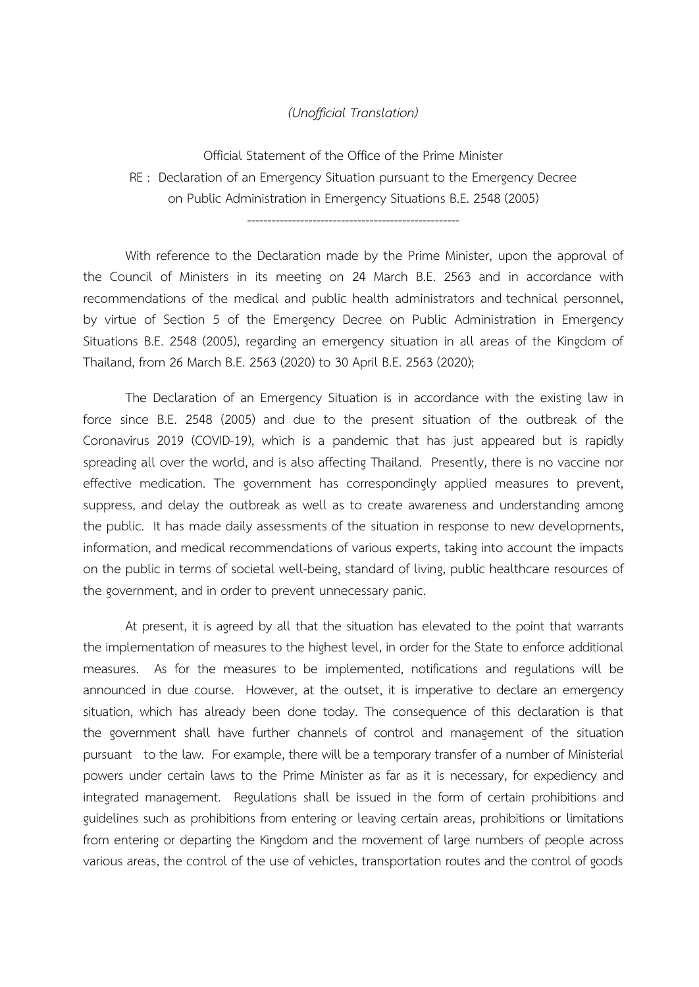## *(Unofficial Translation)*

Official Statement of the Office of the Prime Minister RE : Declaration of an Emergency Situation pursuant to the Emergency Decree on Public Administration in Emergency Situations B.E. 2548 (2005)

----------------------------------------------------

With reference to the Declaration made by the Prime Minister, upon the approval of the Council of Ministers in its meeting on 24 March B.E. 2563 and in accordance with recommendations of the medical and public health administrators and technical personnel, by virtue of Section 5 of the Emergency Decree on Public Administration in Emergency Situations B.E. 2548 (2005), regarding an emergency situation in all areas of the Kingdom of Thailand, from 26 March B.E. 2563 (2020) to 30 April B.E. 2563 (2020);

The Declaration of an Emergency Situation is in accordance with the existing law in force since B.E. 2548 (2005) and due to the present situation of the outbreak of the Coronavirus 2019 (COVID-19), which is a pandemic that has just appeared but is rapidly spreading all over the world, and is also affecting Thailand. Presently, there is no vaccine nor effective medication. The government has correspondingly applied measures to prevent, suppress, and delay the outbreak as well as to create awareness and understanding among the public. It has made daily assessments of the situation in response to new developments, information, and medical recommendations of various experts, taking into account the impacts on the public in terms of societal well-being, standard of living, public healthcare resources of the government, and in order to prevent unnecessary panic.

At present, it is agreed by all that the situation has elevated to the point that warrants the implementation of measures to the highest level, in order for the State to enforce additional measures. As for the measures to be implemented, notifications and regulations will be announced in due course. However, at the outset, it is imperative to declare an emergency situation, which has already been done today. The consequence of this declaration is that the government shall have further channels of control and management of the situation pursuant to the law. For example, there will be a temporary transfer of a number of Ministerial powers under certain laws to the Prime Minister as far as it is necessary, for expediency and integrated management. Regulations shall be issued in the form of certain prohibitions and guidelines such as prohibitions from entering or leaving certain areas, prohibitions or limitations from entering or departing the Kingdom and the movement of large numbers of people across various areas, the control of the use of vehicles, transportation routes and the control of goods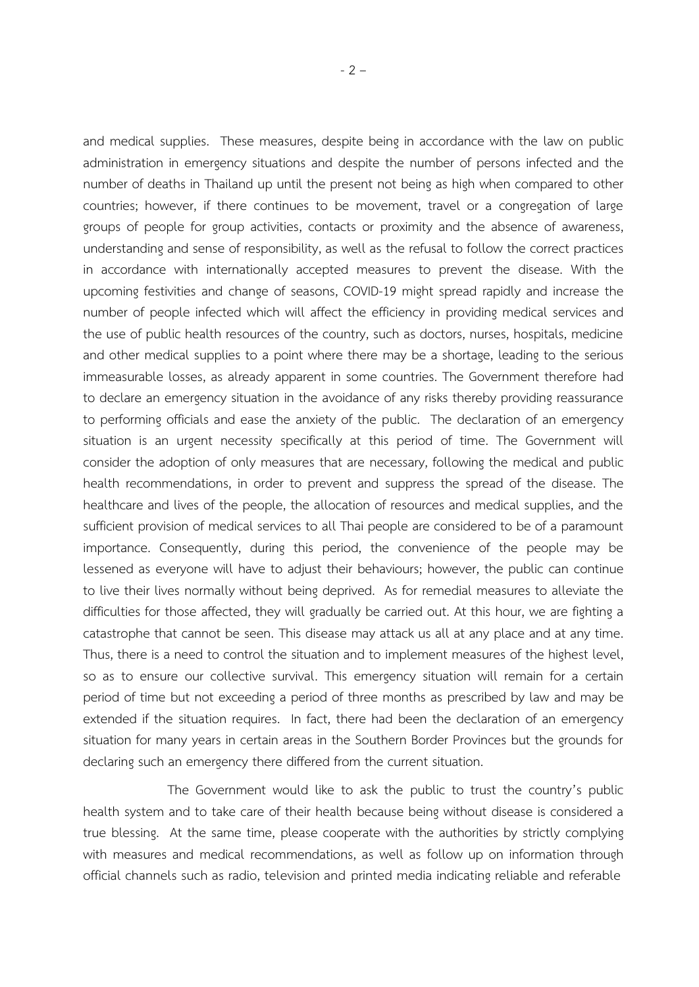and medical supplies. These measures, despite being in accordance with the law on public administration in emergency situations and despite the number of persons infected and the number of deaths in Thailand up until the present not being as high when compared to other countries; however, if there continues to be movement, travel or a congregation of large groups of people for group activities, contacts or proximity and the absence of awareness, understanding and sense of responsibility, as well as the refusal to follow the correct practices in accordance with internationally accepted measures to prevent the disease. With the upcoming festivities and change of seasons, COVID-19 might spread rapidly and increase the number of people infected which will affect the efficiency in providing medical services and the use of public health resources of the country, such as doctors, nurses, hospitals, medicine and other medical supplies to a point where there may be a shortage, leading to the serious immeasurable losses, as already apparent in some countries. The Government therefore had to declare an emergency situation in the avoidance of any risks thereby providing reassurance to performing officials and ease the anxiety of the public. The declaration of an emergency situation is an urgent necessity specifically at this period of time. The Government will consider the adoption of only measures that are necessary, following the medical and public health recommendations, in order to prevent and suppress the spread of the disease. The healthcare and lives of the people, the allocation of resources and medical supplies, and the sufficient provision of medical services to all Thai people are considered to be of a paramount importance. Consequently, during this period, the convenience of the people may be lessened as everyone will have to adjust their behaviours; however, the public can continue to live their lives normally without being deprived. As for remedial measures to alleviate the difficulties for those affected, they will gradually be carried out. At this hour, we are fighting a catastrophe that cannot be seen. This disease may attack us all at any place and at any time. Thus, there is a need to control the situation and to implement measures of the highest level, so as to ensure our collective survival. This emergency situation will remain for a certain period of time but not exceeding a period of three months as prescribed by law and may be extended if the situation requires. In fact, there had been the declaration of an emergency situation for many years in certain areas in the Southern Border Provinces but the grounds for declaring such an emergency there differed from the current situation.

The Government would like to ask the public to trust the country's public health system and to take care of their health because being without disease is considered a true blessing. At the same time, please cooperate with the authorities by strictly complying with measures and medical recommendations, as well as follow up on information through official channels such as radio, television and printed media indicating reliable and referable